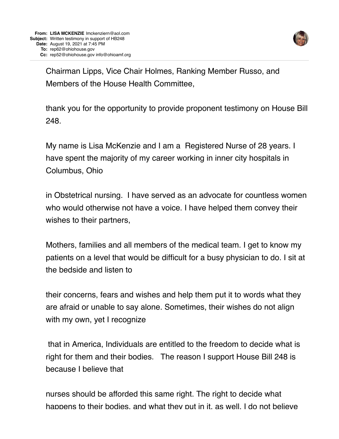

Chairman Lipps, Vice Chair Holmes, Ranking Member Russo, and Members of the House Health Committee,

thank you for the opportunity to provide proponent testimony on House Bill 248.

My name is Lisa McKenzie and I am a Registered Nurse of 28 years. I have spent the majority of my career working in inner city hospitals in Columbus, Ohio

in Obstetrical nursing. I have served as an advocate for countless women who would otherwise not have a voice. I have helped them convey their wishes to their partners,

Mothers, families and all members of the medical team. I get to know my patients on a level that would be difficult for a busy physician to do. I sit at the bedside and listen to

their concerns, fears and wishes and help them put it to words what they are afraid or unable to say alone. Sometimes, their wishes do not align with my own, yet I recognize

 that in America, Individuals are entitled to the freedom to decide what is right for them and their bodies. The reason I support House Bill 248 is because I believe that

nurses should be afforded this same right. The right to decide what happens to their bodies, and what they put in it, as well. I do not believe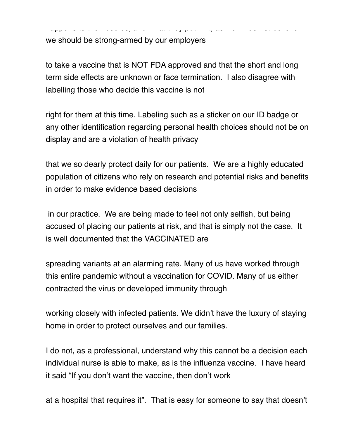we should be strong-armed by our employers

to take a vaccine that is NOT FDA approved and that the short and long term side effects are unknown or face termination. I also disagree with labelling those who decide this vaccine is not

happens to their bodies, and what they put in it, as well. I do not believe

right for them at this time. Labeling such as a sticker on our ID badge or any other identification regarding personal health choices should not be on display and are a violation of health privacy

that we so dearly protect daily for our patients. We are a highly educated population of citizens who rely on research and potential risks and benefits in order to make evidence based decisions

 in our practice. We are being made to feel not only selfish, but being accused of placing our patients at risk, and that is simply not the case. It is well documented that the VACCINATED are

spreading variants at an alarming rate. Many of us have worked through this entire pandemic without a vaccination for COVID. Many of us either contracted the virus or developed immunity through

working closely with infected patients. We didn't have the luxury of staying home in order to protect ourselves and our families.

I do not, as a professional, understand why this cannot be a decision each individual nurse is able to make, as is the influenza vaccine. I have heard it said "If you don't want the vaccine, then don't work

at a hospital that requires it". That is easy for someone to say that doesn't